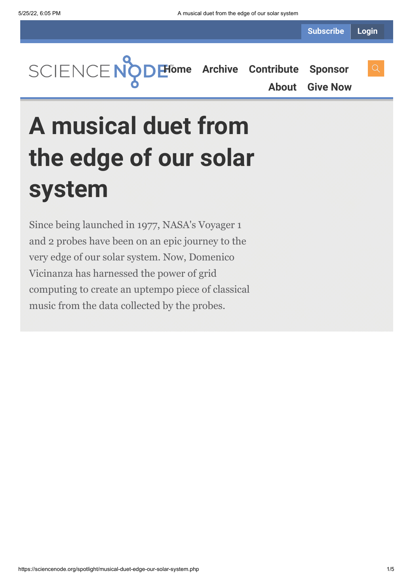**Subscribe Login**

**[Home](https://sciencenode.org/) [Archive](https://sciencenode.org/archive/index.php) [Contribute](https://sciencenode.org/contribute/index.php) [Sponsor](https://sciencenode.org/sponsor/index.php)**

**[About](https://sciencenode.org/about/index.php) [Give Now](https://sciencenode.org/donate/index.php)**

# **A musical duet from the edge of our solar system**

Since being launched in 1977, NASA's Voyager 1 and 2 probes have been on an epic journey to the very edge of our solar system. Now, Domenico Vicinanza has harnessed the power of grid computing to create an uptempo piece of classical music from the data collected by the probes.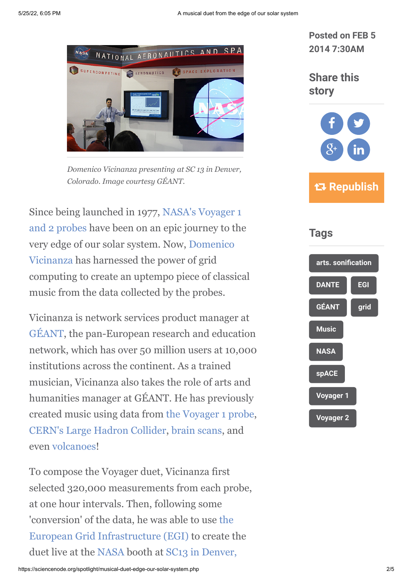

*Domenico Vicinanza presenting at SC 13 in Denver, Colorado. Image courtesy GÉANT.*

[Since being launched in 1977, NASA's Voyager 1](http://voyager.jpl.nasa.gov/) and 2 probes have been on an epic journey to the [very edge of our solar system. Now, Domenico](http://network.nature.com/profile/domenico) Vicinanza has harnessed the power of grid computing to create an uptempo piece of classical music from the data collected by the probes.

Vicinanza is network services product manager at [GÉANT](http://www.geant.net/Pages/default.aspx), the pan-European research and education network, which has over 50 million users at 10,000 institutions across the continent. As a trained musician, Vicinanza also takes the role of arts and humanities manager at GÉANT. He has previously created music using data from [the Voyager 1 probe](http://www.isgtw.org/feature/where-no-musician-has-gone), [CERN's Large Hadron Collider,](http://www.isgtw.org/feature/hear-higgs-through-its-data) [brain scans,](http://www.isgtw.org/feature/listening-music-brain-could-be-key-treating-epilepsy) and even [volcanoes](http://www.isgtw.org/feature/feature-dante-dances-volcano)!

To compose the Voyager duet, Vicinanza first selected 320,000 measurements from each probe, at one hour intervals. Then, following some ['conversion' of the data, he was able to use the](http://www.egi.eu/) European Grid Infrastructure (EGI) to create the [duet live at the](http://sc13.supercomputing.org/) [NAS](http://www.nasa.gov/)[A booth at SC13 in Denver,](http://sc13.supercomputing.org/)

**Posted on FEB 5 2014 7:30AM**

**Share this story**



 **Republish**

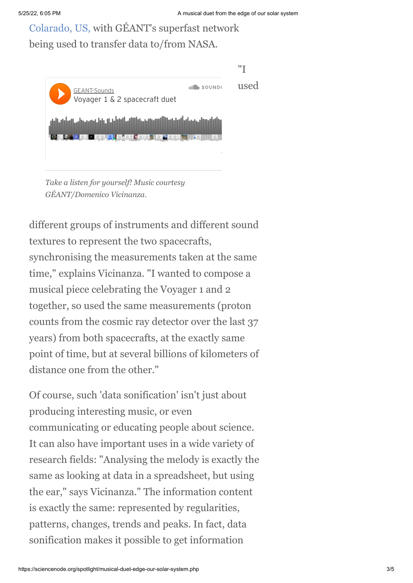[Colarado, US, with GÉANT's superfast network](http://sc13.supercomputing.org/) being used to transfer data to/from NASA.



*Take a listen for yourself! Music courtesy GÉANT/Domenico Vicinanza.*

different groups of instruments and different sound textures to represent the two spacecrafts, synchronising the measurements taken at the same time," explains Vicinanza. "I wanted to compose a musical piece celebrating the Voyager 1 and 2 together, so used the same measurements (proton counts from the cosmic ray detector over the last 37 years) from both spacecrafts, at the exactly same point of time, but at several billions of kilometers of distance one from the other."

Of course, such 'data sonification' isn't just about producing interesting music, or even communicating or educating people about science. It can also have important uses in a wide variety of research fields: "Analysing the melody is exactly the same as looking at data in a spreadsheet, but using the ear," says Vicinanza." The information content is exactly the same: represented by regularities, patterns, changes, trends and peaks. In fact, data sonification makes it possible to get information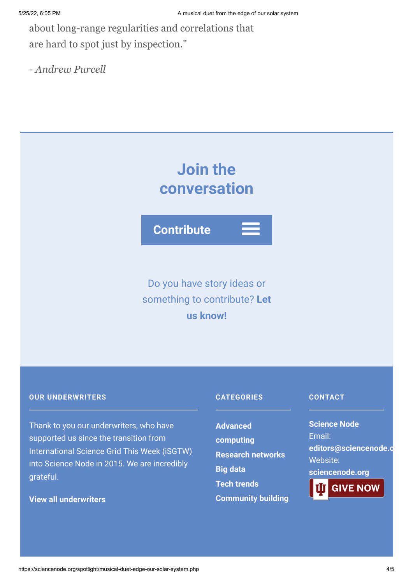about long-range regularities and correlations that are hard to spot just by inspection."

*- Andrew Purcell*

## **Join the conversation**

**Contribute**

### Do you have story ideas or something to contribute? **Let us know!**

#### **OUR UNDERWRITERS**

Thank to you our underwriters, who have supported us since the transition from International Science Grid This Week (iSGTW) into Science Node in 2015. We are incredibly grateful.

#### **[View all underwriters](https://sciencenode.org/about/index.php)**

#### **CATEGORIES**

**Advanced [computing](https://sciencenode.org/archive/?year=2016&category=Advanced%20computing) [Research networks](https://sciencenode.org/archive/?year=2016&category=Advanced%20computing&category=Research%20networks) [Big data](https://sciencenode.org/archive/?year=2016&category=Advanced%20computing&category=Research%20networks&category=Big%20data) [Tech trends](https://sciencenode.org/archive/?year=2016&category=Advanced%20computing&category=Research%20networks&category=Big%20data&category=Tech%20trends) [Community building](https://sciencenode.org/archive/?year=2016&category=Advanced%20computing&category=Research%20networks&category=Big%20data&category=Tech%20trends&category=Community%20building)**

#### **CONTACT**

**Science Node** Email: **[editors@sciencenode.o](mailto:edit%6F%72s@s%63%69encenode.%6F%72%67)** Website: **[sciencenode.org](https://sciencenode.org/)**